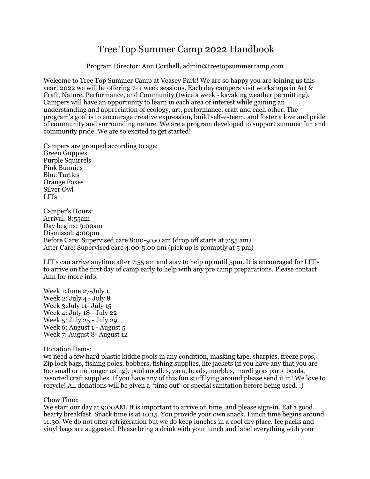# Tree Top Summer Camp 2022 Handbook

#### Program Director: Ann Corthell, [admin@treetopsummercamp.com](mailto:admin@treetopsummercamp.com)

Welcome to Tree Top Summer Camp at Veasey Park! We are so happy you are joining us this year! 2022 we will be offering 7- 1 week sessions. Each day campers visit workshops in Art & Craft, Nature, Performance, and Community (twice a week - kayaking weather permitting). Campers will have an opportunity to learn in each area of interest while gaining an understanding and appreciation of ecology, art, performance, craft and each other. The program's goal is to encourage creative expression, build self-esteem, and foster a love and pride of community and surrounding nature. We are a program developed to support summer fun and community pride. We are so excited to get started!

Campers are grouped according to age: Green Guppies Purple Squirrels Pink Bunnies Blue Turtles Orange Foxes Silver Owl LITs

Camper's Hours: Arrival: 8:55am Day begins: 9:00am Dismissal: 4:00pm Before Care: Supervised care 8:00-9:00 am (drop off starts at 7:55 am) After Care: Supervised care 4:00-5:00 pm (pick up is promptly at 5 pm)

LIT's can arrive anytime after 7:55 am and stay to help up until 5pm. It is encouraged for LIT's to arrive on the first day of camp early to help with any pre camp preparations. Please contact Ann for more info.

Week 1:June 27-July 1 Week 2: July 4 - July 8 Week 3:July 11- July 15 Week 4: July 18 - July 22 Week 5: July 25 - July 29 Week 6: August 1 - August 5 Week 7: August 8- August 12

Donation Items:

we need a few hard plastic kiddie pools in any condition, masking tape, sharpies, freeze pops, Zip lock bags, fishing poles, bobbers, fishing supplies, life jackets (if you have any that you are too small or no longer using), pool noodles, yarn, beads, marbles, mardi gras party beads, assorted craft supplies. If you have any of this fun stuff lying around please send it in! We love to recycle! All donations will be given a "time out" or special sanitation before being used. :)

Chow Time:

We start our day at 9:00 AM. It is important to arrive on time, and please sign-in. Eat a good hearty breakfast. Snack time is at 10:15. You provide your own snack. Lunch time begins around 11:30. We do not offer refrigeration but we do keep lunches in a cool dry place. Ice packs and vinyl bags are suggested. Please bring a drink with your lunch and label everything with your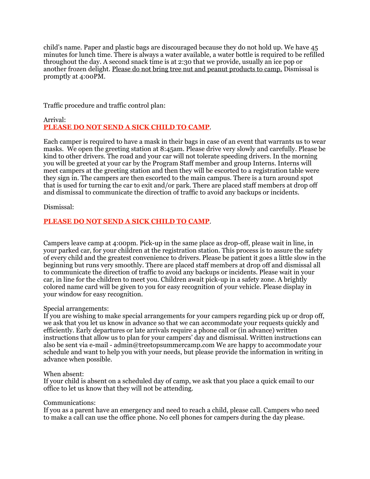child's name. Paper and plastic bags are discouraged because they do not hold up. We have 45 minutes for lunch time. There is always a water available, a water bottle is required to be refilled throughout the day. A second snack time is at 2:30 that we provide, usually an ice pop or another frozen delight. Please do not bring tree nut and peanut products to camp. Dismissal is promptly at 4:00PM.

Traffic procedure and traffic control plan:

## Arrival: **PLEASE DO NOT SEND A SICK CHILD TO CAMP**.

Each camper is required to have a mask in their bags in case of an event that warrants us to wear masks. We open the greeting station at 8:45am. Please drive very slowly and carefully. Please be kind to other drivers. The road and your car will not tolerate speeding drivers. In the morning you will be greeted at your car by the Program Staff member and group Interns. Interns will meet campers at the greeting station and then they will be escorted to a registration table were they sign in. The campers are then escorted to the main campus. There is a turn around spot that is used for turning the car to exit and/or park. There are placed staff members at drop off and dismissal to communicate the direction of traffic to avoid any backups or incidents.

Dismissal:

## **PLEASE DO NOT SEND A SICK CHILD TO CAMP**.

Campers leave camp at 4:00pm. Pick-up in the same place as drop-off, please wait in line, in your parked car, for your children at the registration station. This process is to assure the safety of every child and the greatest convenience to drivers. Please be patient it goes a little slow in the beginning but runs very smoothly. There are placed staff members at drop off and dismissal all to communicate the direction of traffic to avoid any backups or incidents. Please wait in your car, in line for the children to meet you. Children await pick-up in a safety zone. A brightly colored name card will be given to you for easy recognition of your vehicle. Please display in your window for easy recognition.

#### Special arrangements:

If you are wishing to make special arrangements for your campers regarding pick up or drop off, we ask that you let us know in advance so that we can accommodate your requests quickly and efficiently. Early departures or late arrivals require a phone call or (in advance) written instructions that allow us to plan for your campers' day and dismissal. Written instructions can also be sent via e-mail - admin@treetopsummercamp.com We are happy to accommodate your schedule and want to help you with your needs, but please provide the information in writing in advance when possible.

#### When absent:

If your child is absent on a scheduled day of camp, we ask that you place a quick email to our office to let us know that they will not be attending.

#### Communications:

If you as a parent have an emergency and need to reach a child, please call. Campers who need to make a call can use the office phone. No cell phones for campers during the day please.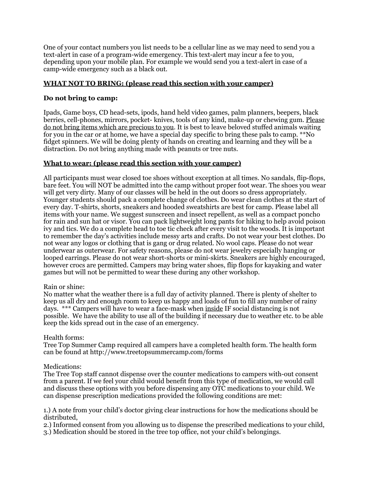One of your contact numbers you list needs to be a cellular line as we may need to send you a text-alert in case of a program-wide emergency. This text-alert may incur a fee to you, depending upon your mobile plan. For example we would send you a text-alert in case of a camp-wide emergency such as a black out.

## **WHAT NOT TO BRING: (please read this section with your camper)**

## **Do not bring to camp:**

Ipads, Game boys, CD head-sets, ipods, hand held video games, palm planners, beepers, black berries, cell-phones, mirrors, pocket- knives, tools of any kind, make-up or chewing gum. Please do not bring items which are precious to you. It is best to leave beloved stuffed animals waiting for you in the car or at home, we have a special day specific to bring these pals to camp. \*\*No fidget spinners. We will be doing plenty of hands on creating and learning and they will be a distraction. Do not bring anything made with peanuts or tree nuts.

## **What to wear: (please read this section with your camper)**

All participants must wear closed toe shoes without exception at all times. No sandals, flip-flops, bare feet. You will NOT be admitted into the camp without proper foot wear. The shoes you wear will get very dirty. Many of our classes will be held in the out doors so dress appropriately. Younger students should pack a complete change of clothes. Do wear clean clothes at the start of every day. T-shirts, shorts, sneakers and hooded sweatshirts are best for camp. Please label all items with your name. We suggest sunscreen and insect repellent, as well as a compact poncho for rain and sun hat or visor. You can pack lightweight long pants for hiking to help avoid poison ivy and tics. We do a complete head to toe tic check after every visit to the woods. It is important to remember the day's activities include messy arts and crafts. Do not wear your best clothes. Do not wear any logos or clothing that is gang or drug related. No wool caps. Please do not wear underwear as outerwear. For safety reasons, please do not wear jewelry especially hanging or looped earrings. Please do not wear short-shorts or mini-skirts. Sneakers are highly encouraged, however crocs are permitted. Campers may bring water shoes, flip flops for kayaking and water games but will not be permitted to wear these during any other workshop.

## Rain or shine:

No matter what the weather there is a full day of activity planned. There is plenty of shelter to keep us all dry and enough room to keep us happy and loads of fun to fill any number of rainy days. \*\*\* Campers will have to wear a face-mask when inside IF social distancing is not possible. We have the ability to use all of the building if necessary due to weather etc. to be able keep the kids spread out in the case of an emergency.

#### Health forms:

Tree Top Summer Camp required all campers have a completed health form. The health form can be found at http://www.treetopsummercamp.com/forms

#### Medications:

The Tree Top staff cannot dispense over the counter medications to campers with-out consent from a parent. If we feel your child would benefit from this type of medication, we would call and discuss these options with you before dispensing any OTC medications to your child. We can dispense prescription medications provided the following conditions are met:

1.) A note from your child's doctor giving clear instructions for how the medications should be distributed,

2.) Informed consent from you allowing us to dispense the prescribed medications to your child, 3.) Medication should be stored in the tree top office, not your child's belongings.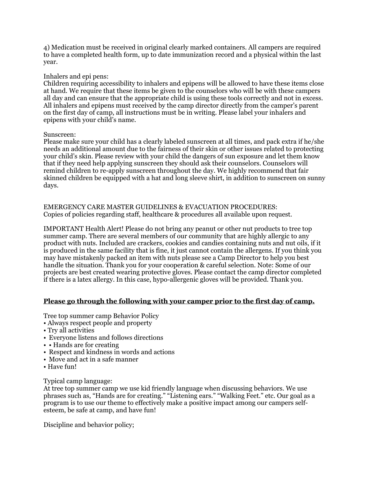4) Medication must be received in original clearly marked containers. All campers are required to have a completed health form, up to date immunization record and a physical within the last year.

#### Inhalers and epi pens:

Children requiring accessibility to inhalers and epipens will be allowed to have these items close at hand. We require that these items be given to the counselors who will be with these campers all day and can ensure that the appropriate child is using these tools correctly and not in excess. All inhalers and epipens must received by the camp director directly from the camper's parent on the first day of camp, all instructions must be in writing. Please label your inhalers and epipens with your child's name.

#### Sunscreen:

Please make sure your child has a clearly labeled sunscreen at all times, and pack extra if he/she needs an additional amount due to the fairness of their skin or other issues related to protecting your child's skin. Please review with your child the dangers of sun exposure and let them know that if they need help applying sunscreen they should ask their counselors. Counselors will remind children to re-apply sunscreen throughout the day. We highly recommend that fair skinned children be equipped with a hat and long sleeve shirt, in addition to sunscreen on sunny days.

#### EMERGENCY CARE MASTER GUIDELINES & EVACUATION PROCEDURES: Copies of policies regarding staff, healthcare & procedures all available upon request.

IMPORTANT Health Alert! Please do not bring any peanut or other nut products to tree top summer camp. There are several members of our community that are highly allergic to any product with nuts. Included are crackers, cookies and candies containing nuts and nut oils, if it is produced in the same facility that is fine, it just cannot contain the allergens. If you think you may have mistakenly packed an item with nuts please see a Camp Director to help you best handle the situation. Thank you for your cooperation & careful selection. Note: Some of our projects are best created wearing protective gloves. Please contact the camp director completed if there is a latex allergy. In this case, hypo-allergenic gloves will be provided. Thank you.

## **Please go through the following with your camper prior to the first day of camp.**

Tree top summer camp Behavior Policy

- Always respect people and property
- Try all activities
- Everyone listens and follows directions
- • Hands are for creating
- Respect and kindness in words and actions
- Move and act in a safe manner
- Have fun!

#### Typical camp language:

At tree top summer camp we use kid friendly language when discussing behaviors. We use phrases such as, "Hands are for creating." "Listening ears." "Walking Feet." etc. Our goal as a program is to use our theme to effectively make a positive impact among our campers selfesteem, be safe at camp, and have fun!

Discipline and behavior policy;